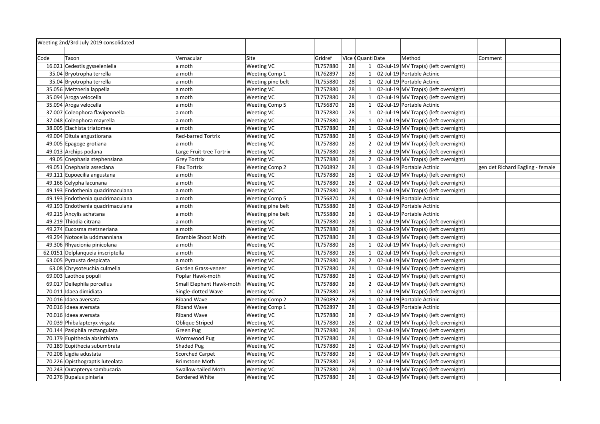|      | Weeting 2nd/3rd July 2019 consolidated |                           |                       |          |    |                  |                                       |         |                                  |  |
|------|----------------------------------------|---------------------------|-----------------------|----------|----|------------------|---------------------------------------|---------|----------------------------------|--|
|      |                                        |                           |                       |          |    |                  |                                       |         |                                  |  |
| Code | Taxon                                  | Vernacular                | Site                  | Gridref  |    | Vice (Quant Date | Method                                | Comment |                                  |  |
|      | 16.021 Cedestis gysseleniella          | a moth                    | Weeting VC            | TL757880 | 28 |                  | 02-Jul-19 MV Trap(s) (left overnight) |         |                                  |  |
|      | 35.04 Bryotropha terrella              | a moth                    | Weeting Comp 1        | TL762897 | 28 |                  | 02-Jul-19 Portable Actinic            |         |                                  |  |
|      | 35.04 Bryotropha terrella              | a moth                    | Weeting pine belt     | TL755880 | 28 | $\overline{1}$   | 02-Jul-19 Portable Actinic            |         |                                  |  |
|      | 35.056 Metzneria lappella              | a moth                    | <b>Weeting VC</b>     | TL757880 | 28 |                  | 02-Jul-19 MV Trap(s) (left overnight) |         |                                  |  |
|      | 35.094 Aroga velocella                 | a moth                    | <b>Weeting VC</b>     | TL757880 | 28 |                  | 02-Jul-19 MV Trap(s) (left overnight) |         |                                  |  |
|      | 35.094 Aroga velocella                 | a moth                    | <b>Weeting Comp 5</b> | TL756870 | 28 | $\mathbf{1}$     | 02-Jul-19 Portable Actinic            |         |                                  |  |
|      | 37.007 Coleophora flavipennella        | a moth                    | Weeting VC            | TL757880 | 28 |                  | 02-Jul-19 MV Trap(s) (left overnight) |         |                                  |  |
|      | 37.048 Coleophora mayrella             | a moth                    | Weeting VC            | TL757880 | 28 |                  | 02-Jul-19 MV Trap(s) (left overnight) |         |                                  |  |
|      | 38.005 Elachista triatomea             | a moth                    | <b>Weeting VC</b>     | TL757880 | 28 |                  | 02-Jul-19 MV Trap(s) (left overnight) |         |                                  |  |
|      | 49.004 Ditula angustiorana             | <b>Red-barred Tortrix</b> | Weeting VC            | TL757880 | 28 |                  | 02-Jul-19 MV Trap(s) (left overnight) |         |                                  |  |
|      | 49.005 Epagoge grotiana                | a moth                    | <b>Weeting VC</b>     | TL757880 | 28 | $\overline{2}$   | 02-Jul-19 MV Trap(s) (left overnight) |         |                                  |  |
|      | 49.013 Archips podana                  | Large Fruit-tree Tortrix  | Weeting VC            | TL757880 | 28 | 3                | 02-Jul-19 MV Trap(s) (left overnight) |         |                                  |  |
|      | 49.05 Cnephasia stephensiana           | Grey Tortrix              | Weeting VC            | TL757880 | 28 | $\overline{2}$   | 02-Jul-19 MV Trap(s) (left overnight) |         |                                  |  |
|      | 49.051 Cnephasia asseclana             | Flax Tortrix              | <b>Weeting Comp 2</b> | TL760892 | 28 | $\overline{1}$   | 02-Jul-19 Portable Actinic            |         | gen det Richard Eagling - female |  |
|      | 49.111 Eupoecilia angustana            | a moth                    | Weeting VC            | TL757880 | 28 |                  | 02-Jul-19 MV Trap(s) (left overnight) |         |                                  |  |
|      | 49.166 Celypha lacunana                | a moth                    | Weeting VC            | TL757880 | 28 | $\overline{z}$   | 02-Jul-19 MV Trap(s) (left overnight) |         |                                  |  |
|      | 49.193 Endothenia quadrimaculana       | a moth                    | Weeting VC            | TL757880 | 28 |                  | 02-Jul-19 MV Trap(s) (left overnight) |         |                                  |  |
|      | 49.193 Endothenia quadrimaculana       | a moth                    | <b>Weeting Comp 5</b> | TL756870 | 28 |                  | 02-Jul-19 Portable Actinic            |         |                                  |  |
|      | 49.193 Endothenia quadrimaculana       | a moth                    | Weeting pine belt     | TL755880 | 28 | $\overline{3}$   | 02-Jul-19 Portable Actinic            |         |                                  |  |
|      | 49.215 Ancylis achatana                | a moth                    | Weeting pine belt     | TL755880 | 28 |                  | 02-Jul-19 Portable Actinic            |         |                                  |  |
|      | 49.219 Thiodia citrana                 | a moth                    | Weeting VC            | TL757880 | 28 |                  | 02-Jul-19 MV Trap(s) (left overnight) |         |                                  |  |
|      | 49.274 Eucosma metzneriana             | a moth                    | <b>Weeting VC</b>     | TL757880 | 28 |                  | 02-Jul-19 MV Trap(s) (left overnight) |         |                                  |  |
|      | 49.294 Notocelia uddmanniana           | <b>Bramble Shoot Moth</b> | Weeting VC            | TL757880 | 28 | $\overline{3}$   | 02-Jul-19 MV Trap(s) (left overnight) |         |                                  |  |
|      | 49.306 Rhyacionia pinicolana           | a moth                    | <b>Weeting VC</b>     | TL757880 | 28 |                  | 02-Jul-19 MV Trap(s) (left overnight) |         |                                  |  |
|      | 62.0151 Delplanqueia inscriptella      | a moth                    | <b>Weeting VC</b>     | TL757880 | 28 |                  | 02-Jul-19 MV Trap(s) (left overnight) |         |                                  |  |
|      | 63.005 Pyrausta despicata              | a moth                    | <b>Weeting VC</b>     | TL757880 | 28 | $\overline{z}$   | 02-Jul-19 MV Trap(s) (left overnight) |         |                                  |  |
|      | 63.08 Chrysoteuchia culmella           | Garden Grass-veneer       | <b>Weeting VC</b>     | TL757880 | 28 |                  | 02-Jul-19 MV Trap(s) (left overnight) |         |                                  |  |
|      | 69.003 Laothoe populi                  | Poplar Hawk-moth          | Weeting VC            | TL757880 | 28 |                  | 02-Jul-19 MV Trap(s) (left overnight) |         |                                  |  |
|      | 69.017 Deilephila porcellus            | Small Elephant Hawk-moth  | <b>Weeting VC</b>     | TL757880 | 28 |                  | 02-Jul-19 MV Trap(s) (left overnight) |         |                                  |  |
|      | 70.011 Idaea dimidiata                 | Single-dotted Wave        | <b>Weeting VC</b>     | TL757880 | 28 |                  | 02-Jul-19 MV Trap(s) (left overnight) |         |                                  |  |
|      | 70.016 Idaea aversata                  | <b>Riband Wave</b>        | <b>Weeting Comp 2</b> | TL760892 | 28 | $\mathbf{1}$     | 02-Jul-19 Portable Actinic            |         |                                  |  |
|      | 70.016 Idaea aversata                  | <b>Riband Wave</b>        | Weeting Comp 1        | TL762897 | 28 |                  | 02-Jul-19 Portable Actinic            |         |                                  |  |
|      | 70.016 Idaea aversata                  | <b>Riband Wave</b>        | Weeting VC            | TL757880 | 28 |                  | 02-Jul-19 MV Trap(s) (left overnight) |         |                                  |  |
|      | 70.039 Phibalapteryx virgata           | Oblique Striped           | <b>Weeting VC</b>     | TL757880 | 28 | $\overline{2}$   | 02-Jul-19 MV Trap(s) (left overnight) |         |                                  |  |
|      | 70.144 Pasiphila rectangulata          | Green Pug                 | <b>Weeting VC</b>     | TL757880 | 28 |                  | 02-Jul-19 MV Trap(s) (left overnight) |         |                                  |  |
|      | 70.179 Eupithecia absinthiata          | Wormwood Pug              | <b>Weeting VC</b>     | TL757880 | 28 | $\mathbf{1}$     | 02-Jul-19 MV Trap(s) (left overnight) |         |                                  |  |
|      | 70.189 Eupithecia subumbrata           | <b>Shaded Pug</b>         | <b>Weeting VC</b>     | TL757880 | 28 | $\mathbf{1}$     | 02-Jul-19 MV Trap(s) (left overnight) |         |                                  |  |
|      | 70.208 Ligdia adustata                 | <b>Scorched Carpet</b>    | <b>Weeting VC</b>     | TL757880 | 28 |                  | 02-Jul-19 MV Trap(s) (left overnight) |         |                                  |  |
|      | 70.226 Opisthograptis luteolata        | <b>Brimstone Moth</b>     | <b>Weeting VC</b>     | TL757880 | 28 | $\overline{2}$   | 02-Jul-19 MV Trap(s) (left overnight) |         |                                  |  |
|      | 70.243 Ourapteryx sambucaria           | Swallow-tailed Moth       | <b>Weeting VC</b>     | TL757880 | 28 | $\mathbf{1}$     | 02-Jul-19 MV Trap(s) (left overnight) |         |                                  |  |
|      | 70.276 Bupalus piniaria                | <b>Bordered White</b>     | <b>Weeting VC</b>     | TL757880 | 28 | $\mathbf{1}$     | 02-Jul-19 MV Trap(s) (left overnight) |         |                                  |  |